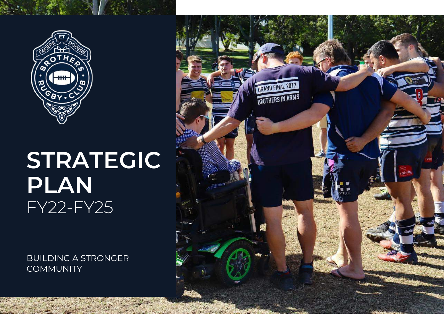

# **STRATEGIC PLAN**  FY22-FY25

BUILDING A STRONGER **COMMUNITY** 

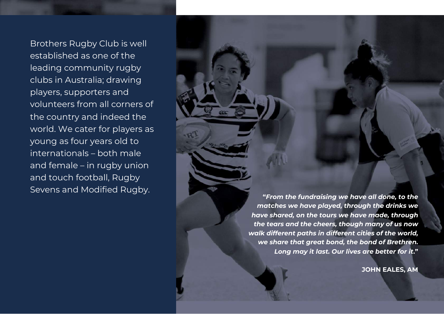Brothers Rugby Club is well established as one of the leading community rugby clubs in Australia; drawing players, supporters and volunteers from all corners of the country and indeed the world. We cater for players as young as four years old to internationals – both male and female – in rugby union and touch football, Rugby

Sevens and Modified Rugby. **"***From the fundraising we have all done, to the matches we have played, through the drinks we have shared, on the tours we have made, through the tears and the cheers, though many of us now walk different paths in different cities of the world, we share that great bond, the bond of Brethren. Long may it last. Our lives are better for it***."**

**JOHN EALES, AM**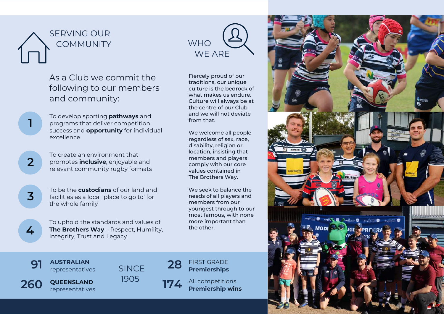



## As a Club we commit the following to our members and community:

To develop sporting **pathways** and programs that deliver competition success and **opportunity** for individual excellence

To create an environment that promotes **inclusive**, enjoyable and relevant community rugby formats

**3**

**4**

**1**

**2**

To be the **custodians** of our land and facilities as a local 'place to go to' for the whole family

To uphold the standards and values of **The Brothers Way** – Respect, Humility, Integrity, Trust and Legacy

Fiercely proud of our traditions, our unique culture is the bedrock of what makes us endure. Culture will always be at the centre of our Club and we will not deviate from that.

We welcome all people regardless of sex, race, disability, religion or location, insisting that members and players comply with our core values contained in The Brothers Way.

We seek to balance the needs of all players and members from our youngest through to our most famous, with none more important than the other.

**91 AUSTRALIAN** 

representatives

**AUSTRALIAN**<br>representatives SINCE **28 Premierships** SINCE <sup>1905</sup> **260 QUEENSLAND** 



**Premierships**

**174** All competitions **Premiership wins** 

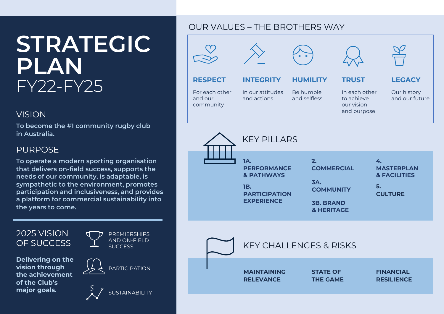# **STRATEGIC PLAN**  FY22-FY25

## VISION

**To become the #1 community rugby club in Australia.**

# PURPOSE

**To operate a modern sporting organisation that delivers on-field success, supports the needs of our community, is adaptable, is sympathetic to the environment, promotes participation and inclusiveness, and provides a platform for commercial sustainability into the years to come.**

## 2025 VISION OF SUCCESS

**Delivering on the vision through the achievement of the Club's major goals.**



# OUR VALUES – THE BROTHERS WAY

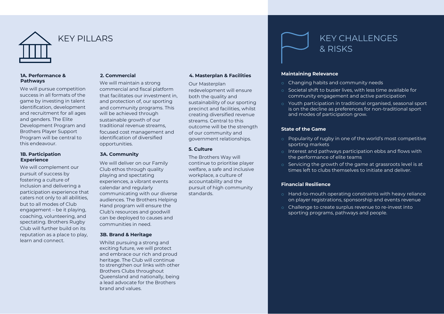

### KEY PILLARS

#### **1A. Performance & Pathways**

We will pursue competition success in all formats of the game by investing in talent identification, development and recruitment for all ages and genders. The Elite Development Program and Brothers Player Support Program will be central to this endeavour.

#### **1B. Participation Experience**

We will complement our pursuit of success by fostering a culture of inclusion and delivering a participation experience that caters not only to all abilities, but to all modes of Club engagement – be it playing, coaching, volunteering, and spectating. Brothers Rugby Club will further build on its reputation as a place to play, learn and connect.

#### **2. Commercial**

We will maintain a strong commercial and fiscal platform that facilitates our investment in, and protection of, our sporting and community programs. This will be achieved through sustainable growth of our traditional revenue streams, focused cost management and identification of diversified opportunities.

#### **3A. Community**

We will deliver on our Family Club ethos through quality playing and spectating experiences, a vibrant events calendar and regularly communicating with our diverse audiences. The Brothers Helping Hand program will ensure the Club's resources and goodwill can be deployed to causes and communities in need.

#### **3B. Brand & Heritage**

Whilst pursuing a strong and exciting future, we will protect and embrace our rich and proud heritage. The Club will continue to strengthen our links with other Brothers Clubs throughout Queensland and nationally, being a lead advocate for the Brothers brand and values.

#### **4. Masterplan & Facilities**

Our Masterplan redevelopment will ensure both the quality and sustainability of our sporting precinct and facilities, whilst creating diversified revenue streams. Central to this outcome will be the strength of our community and government relationships.

#### **5. Culture**

The Brothers Way will continue to prioritise player welfare, a safe and inclusive workplace, a culture of accountability and the pursuit of high community standards.



#### **Maintaining Relevance**

- o Changing habits and community needs
- o Societal shift to busier lives, with less time available for community engagement and active participation
- o Youth participation in traditional organised, seasonal sport is on the decline as preferences for non-traditional sport and modes of participation grow.

#### **State of the Game**

- o Popularity of rugby in one of the world's most competitive sporting markets
- o Interest and pathways participation ebbs and flows with the performance of elite teams
- o Servicing the growth of the game at grassroots level is at times left to clubs themselves to initiate and deliver.

#### **Financial Resilience**

- o Hand-to-mouth operating constraints with heavy reliance on player registrations, sponsorship and events revenue
- o Challenge to create surplus revenue to re-invest into sporting programs, pathways and people.